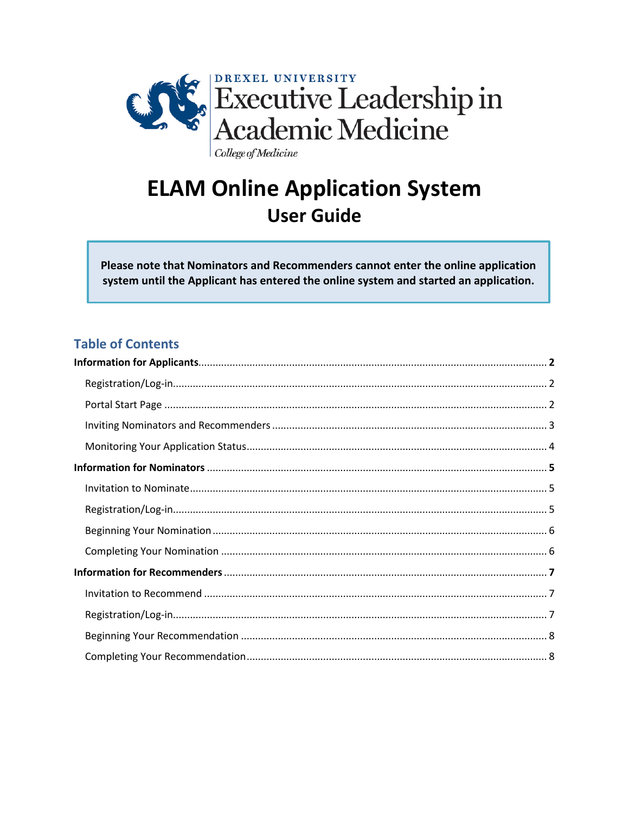

# **ELAM Online Application System User Guide**

Please note that Nominators and Recommenders cannot enter the online application system until the Applicant has entered the online system and started an application.

# **Table of Contents**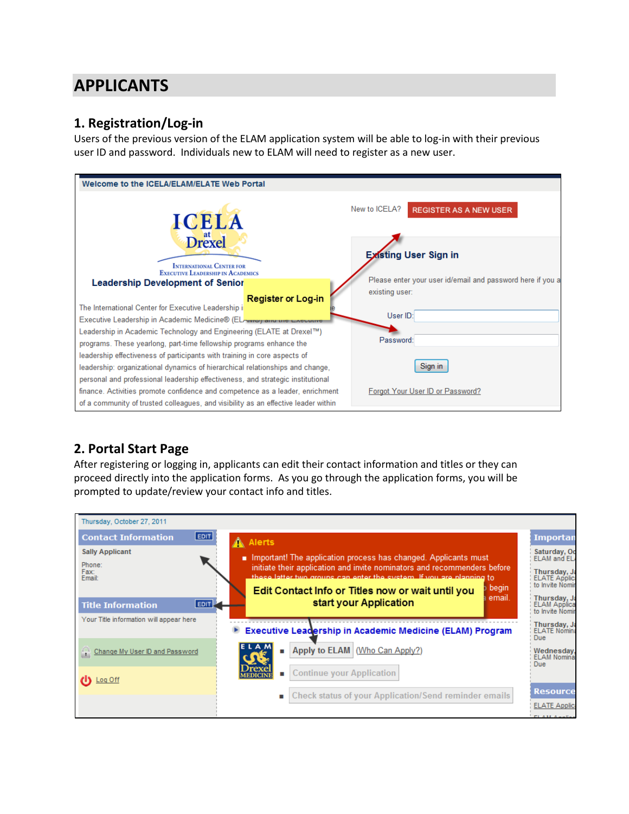# <span id="page-1-0"></span>**APPLICANTS**

# **1. Registration/Log-in**

Users of the previous version of the ELAM application system will be able to log-in with their previous user ID and password. Individuals new to ELAM will need to register as a new user.



# **2. Portal Start Page**

After registering or logging in, applicants can edit their contact information and titles or they can proceed directly into the application forms. As you go through the application forms, you will be prompted to update/review your contact info and titles.

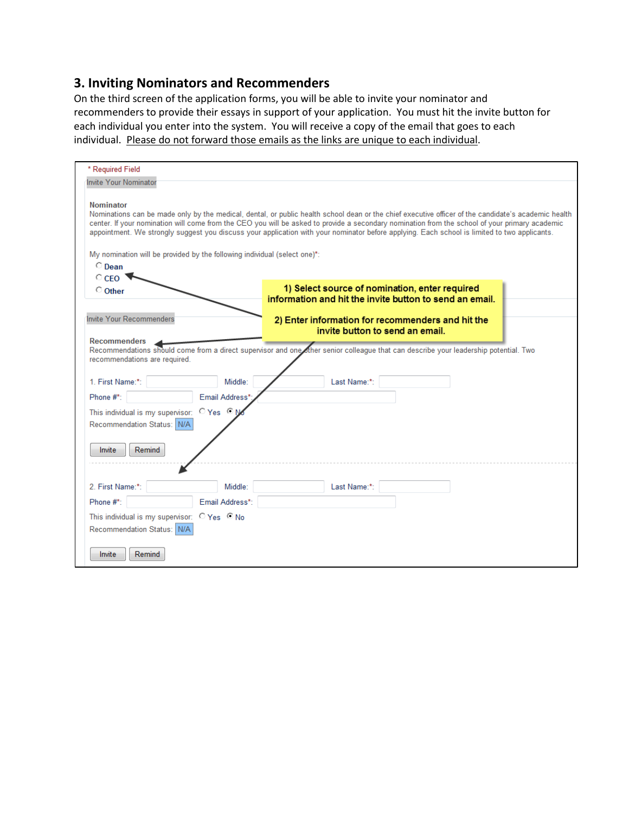# **3. Inviting Nominators and Recommenders**

On the third screen of the application forms, you will be able to invite your nominator and recommenders to provide their essays in support of your application. You must hit the invite button for each individual you enter into the system. You will receive a copy of the email that goes to each individual. Please do not forward those emails as the links are unique to each individual.

| * Required Field<br>Invite Your Nominator<br><b>Nominator</b><br>Nominations can be made only by the medical, dental, or public health school dean or the chief executive officer of the candidate's academic health<br>center. If your nomination will come from the CEO you will be asked to provide a secondary nomination from the school of your primary academic<br>appointment. We strongly suggest you discuss your application with your nominator before applying. Each school is limited to two applicants.<br>My nomination will be provided by the following individual (select one)*:<br>$\circ$ Dean<br>$\circ$ CEO<br>1) Select source of nomination, enter required<br>C Other<br>information and hit the invite button to send an email.<br>Invite Your Recommenders<br>2) Enter information for recommenders and hit the<br>invite button to send an email.<br><b>Recommenders</b><br>Recommendations should come from a direct supervisor and one other senior colleague that can describe your leadership potential. Two<br>recommendations are required.<br>1. First Name:*:<br>Middle:<br>Last Name:*:<br>Phone #*:<br>Email Address*:<br>This individual is my supervisor: O Yes O M<br>Recommendation Status: N/A<br>Invite<br>Remind |
|----------------------------------------------------------------------------------------------------------------------------------------------------------------------------------------------------------------------------------------------------------------------------------------------------------------------------------------------------------------------------------------------------------------------------------------------------------------------------------------------------------------------------------------------------------------------------------------------------------------------------------------------------------------------------------------------------------------------------------------------------------------------------------------------------------------------------------------------------------------------------------------------------------------------------------------------------------------------------------------------------------------------------------------------------------------------------------------------------------------------------------------------------------------------------------------------------------------------------------------------------------------|
|                                                                                                                                                                                                                                                                                                                                                                                                                                                                                                                                                                                                                                                                                                                                                                                                                                                                                                                                                                                                                                                                                                                                                                                                                                                                |
|                                                                                                                                                                                                                                                                                                                                                                                                                                                                                                                                                                                                                                                                                                                                                                                                                                                                                                                                                                                                                                                                                                                                                                                                                                                                |
|                                                                                                                                                                                                                                                                                                                                                                                                                                                                                                                                                                                                                                                                                                                                                                                                                                                                                                                                                                                                                                                                                                                                                                                                                                                                |
|                                                                                                                                                                                                                                                                                                                                                                                                                                                                                                                                                                                                                                                                                                                                                                                                                                                                                                                                                                                                                                                                                                                                                                                                                                                                |
|                                                                                                                                                                                                                                                                                                                                                                                                                                                                                                                                                                                                                                                                                                                                                                                                                                                                                                                                                                                                                                                                                                                                                                                                                                                                |
|                                                                                                                                                                                                                                                                                                                                                                                                                                                                                                                                                                                                                                                                                                                                                                                                                                                                                                                                                                                                                                                                                                                                                                                                                                                                |
|                                                                                                                                                                                                                                                                                                                                                                                                                                                                                                                                                                                                                                                                                                                                                                                                                                                                                                                                                                                                                                                                                                                                                                                                                                                                |
|                                                                                                                                                                                                                                                                                                                                                                                                                                                                                                                                                                                                                                                                                                                                                                                                                                                                                                                                                                                                                                                                                                                                                                                                                                                                |
|                                                                                                                                                                                                                                                                                                                                                                                                                                                                                                                                                                                                                                                                                                                                                                                                                                                                                                                                                                                                                                                                                                                                                                                                                                                                |
|                                                                                                                                                                                                                                                                                                                                                                                                                                                                                                                                                                                                                                                                                                                                                                                                                                                                                                                                                                                                                                                                                                                                                                                                                                                                |
|                                                                                                                                                                                                                                                                                                                                                                                                                                                                                                                                                                                                                                                                                                                                                                                                                                                                                                                                                                                                                                                                                                                                                                                                                                                                |
|                                                                                                                                                                                                                                                                                                                                                                                                                                                                                                                                                                                                                                                                                                                                                                                                                                                                                                                                                                                                                                                                                                                                                                                                                                                                |
|                                                                                                                                                                                                                                                                                                                                                                                                                                                                                                                                                                                                                                                                                                                                                                                                                                                                                                                                                                                                                                                                                                                                                                                                                                                                |
|                                                                                                                                                                                                                                                                                                                                                                                                                                                                                                                                                                                                                                                                                                                                                                                                                                                                                                                                                                                                                                                                                                                                                                                                                                                                |
|                                                                                                                                                                                                                                                                                                                                                                                                                                                                                                                                                                                                                                                                                                                                                                                                                                                                                                                                                                                                                                                                                                                                                                                                                                                                |
|                                                                                                                                                                                                                                                                                                                                                                                                                                                                                                                                                                                                                                                                                                                                                                                                                                                                                                                                                                                                                                                                                                                                                                                                                                                                |
|                                                                                                                                                                                                                                                                                                                                                                                                                                                                                                                                                                                                                                                                                                                                                                                                                                                                                                                                                                                                                                                                                                                                                                                                                                                                |
|                                                                                                                                                                                                                                                                                                                                                                                                                                                                                                                                                                                                                                                                                                                                                                                                                                                                                                                                                                                                                                                                                                                                                                                                                                                                |
|                                                                                                                                                                                                                                                                                                                                                                                                                                                                                                                                                                                                                                                                                                                                                                                                                                                                                                                                                                                                                                                                                                                                                                                                                                                                |
|                                                                                                                                                                                                                                                                                                                                                                                                                                                                                                                                                                                                                                                                                                                                                                                                                                                                                                                                                                                                                                                                                                                                                                                                                                                                |
| 2. First Name:*:<br>Middle:<br>Last Name:*:                                                                                                                                                                                                                                                                                                                                                                                                                                                                                                                                                                                                                                                                                                                                                                                                                                                                                                                                                                                                                                                                                                                                                                                                                    |
| Email Address*:<br>Phone #*:                                                                                                                                                                                                                                                                                                                                                                                                                                                                                                                                                                                                                                                                                                                                                                                                                                                                                                                                                                                                                                                                                                                                                                                                                                   |
| This individual is my supervisor: C Yes C No                                                                                                                                                                                                                                                                                                                                                                                                                                                                                                                                                                                                                                                                                                                                                                                                                                                                                                                                                                                                                                                                                                                                                                                                                   |
| Recommendation Status: N/A                                                                                                                                                                                                                                                                                                                                                                                                                                                                                                                                                                                                                                                                                                                                                                                                                                                                                                                                                                                                                                                                                                                                                                                                                                     |
| Invite<br>Remind                                                                                                                                                                                                                                                                                                                                                                                                                                                                                                                                                                                                                                                                                                                                                                                                                                                                                                                                                                                                                                                                                                                                                                                                                                               |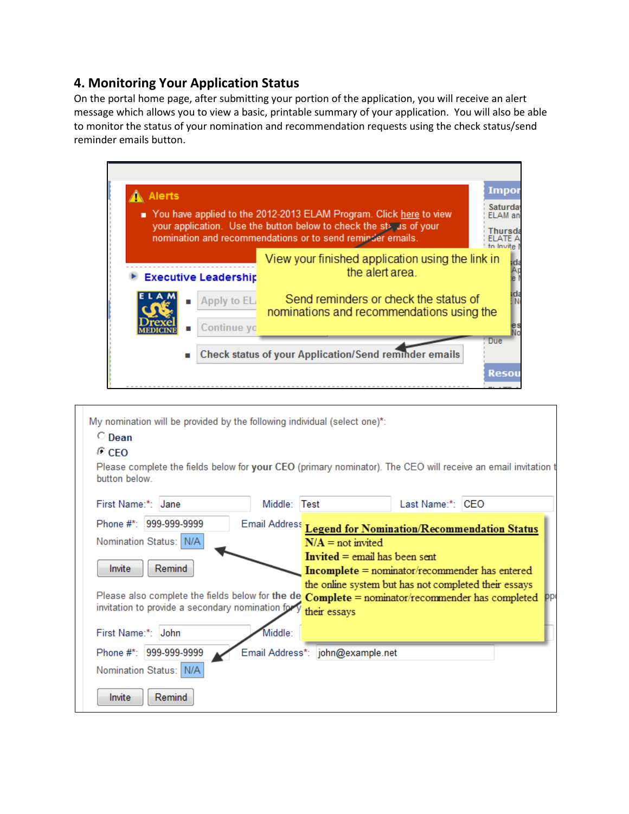# **4. Monitoring Your Application Status**

On the portal home page, after submitting your portion of the application, you will receive an alert message which allows you to view a basic, printable summary of your application. You will also be able to monitor the status of your nomination and recommendation requests using the check status/send reminder emails button.

| <b>Impor</b><br><b>Alerts</b><br>Saturday<br>You have applied to the 2012-2013 ELAM Program. Click here to view<br>ELAM an<br>your application. Use the button below to check the status of your<br>Thursd<br>nomination and recommendations or to send reminder emails. |                                                                                    |  |  |
|--------------------------------------------------------------------------------------------------------------------------------------------------------------------------------------------------------------------------------------------------------------------------|------------------------------------------------------------------------------------|--|--|
| <b>Executive Leadership</b>                                                                                                                                                                                                                                              | View your finished application using the link in<br>the alert area.                |  |  |
| Apply to EL<br>Continue yo                                                                                                                                                                                                                                               | Send reminders or check the status of<br>nominations and recommendations using the |  |  |
| Due<br><b>Check status of your Application/Send reminder emails</b><br>п<br><b>Resou</b>                                                                                                                                                                                 |                                                                                    |  |  |

| My nomination will be provided by the following individual (select one)*:<br>$\circ$ Dean<br>© CEO<br>Please complete the fields below for your CEO (primary nominator). The CEO will receive an email invitation t<br>button below          |                                                                             |                                                                                                                                                                       |  |
|----------------------------------------------------------------------------------------------------------------------------------------------------------------------------------------------------------------------------------------------|-----------------------------------------------------------------------------|-----------------------------------------------------------------------------------------------------------------------------------------------------------------------|--|
| First Name:*: Jane                                                                                                                                                                                                                           | Middle: Test                                                                | Last Name:*: CEO                                                                                                                                                      |  |
| Phone #* 999-999-9999<br>Nomination Status: N/A<br>Remind<br>Invite<br>Please also complete the fields below for the de $Complete =$ nominator/recommender has completed $PP^{\prime}$<br>invitation to provide a secondary nomination for y | $N/A$ = not invited<br><b>Invited</b> = email has been sent<br>their essays | Email Address Legend for Nomination/Recommendation Status<br>$Incomplete = nominator/recommender$ has entered<br>the online system but has not completed their essays |  |
| First Name:*: John<br>Middle:<br>Phone #*: 999-999-9999<br>Nomination Status: N/A<br>Remind<br>Invite                                                                                                                                        | Email Address*: john@example.net                                            |                                                                                                                                                                       |  |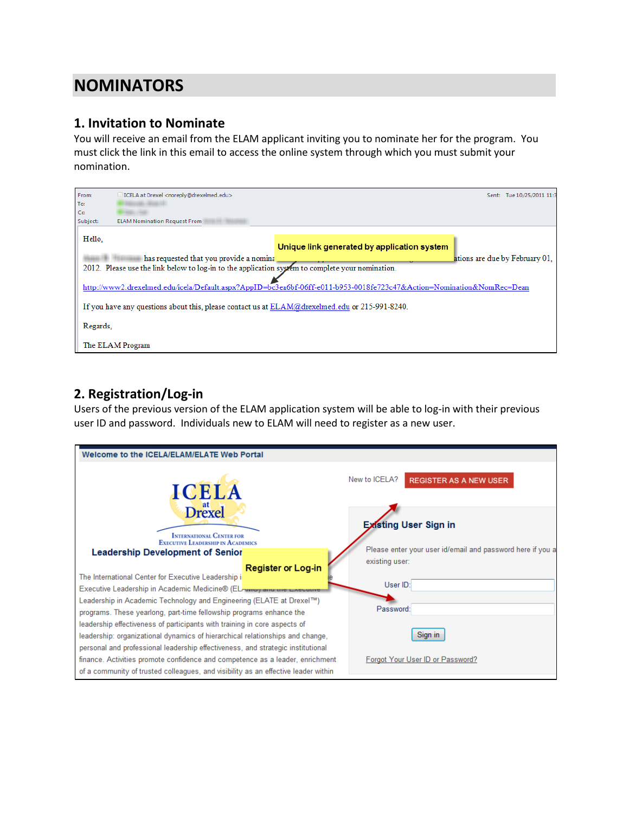# <span id="page-4-0"></span>**NOMINATORS**

#### **1. Invitation to Nominate**

You will receive an email from the ELAM applicant inviting you to nominate her for the program. You must click the link in this email to access the online system through which you must submit your nomination.

| From:    | ICELA at Drexel <noreply@drexelmed.edu></noreply@drexelmed.edu>                                                       | Sent: | Tue 10/25/2011 11:3            |
|----------|-----------------------------------------------------------------------------------------------------------------------|-------|--------------------------------|
| To:      |                                                                                                                       |       |                                |
| Cc       |                                                                                                                       |       |                                |
| Subject: | <b>ELAM Nomination Request From</b>                                                                                   |       |                                |
| Hello.   | Unique link generated by application system                                                                           |       |                                |
|          | has requested that you provide a nominal                                                                              |       | ations are due by February 01. |
|          | 2012. Please use the link below to log-in to the application system to complete your nomination.                      |       |                                |
|          | http://www2.drexelmed.edu/icela/Default.aspx?AppID=bc3ea6bf-06ff-e011-b953-0018fe723c47&Action=Nomination&NomRec=Dean |       |                                |
|          | If you have any questions about this, please contact us at $ELAM@d$ rexelmed.edu or 215-991-8240.                     |       |                                |
| Regards. |                                                                                                                       |       |                                |
|          | The ELAM Program                                                                                                      |       |                                |

# **2. Registration/Log-in**

Users of the previous version of the ELAM application system will be able to log-in with their previous user ID and password. Individuals new to ELAM will need to register as a new user.

| Welcome to the ICELA/ELAM/ELATE Web Portal                                                                                                                       |                                                                              |
|------------------------------------------------------------------------------------------------------------------------------------------------------------------|------------------------------------------------------------------------------|
| <b>ICELA</b>                                                                                                                                                     | New to ICELA?<br><b>REGISTER AS A NEW USER</b>                               |
| <b>Drexel</b><br><b>INTERNATIONAL CENTER FOR</b><br><b>EXECUTIVE LEADERSHIP IN ACADEMICS</b>                                                                     | <b>Existing User Sign in</b>                                                 |
| <b>Leadership Development of Senior</b><br><b>Register or Log-in</b>                                                                                             | Please enter your user id/email and password here if you a<br>existing user: |
| The International Center for Executive Leadership i<br>Executive Leadership in Academic Medicine® (ELAwww) and the Execut                                        | User ID:                                                                     |
| Leadership in Academic Technology and Engineering (ELATE at Drexel™)<br>programs. These yearlong, part-time fellowship programs enhance the                      | Password:                                                                    |
| leadership effectiveness of participants with training in core aspects of<br>leadership: organizational dynamics of hierarchical relationships and change,       | Sign in                                                                      |
| personal and professional leadership effectiveness, and strategic institutional<br>finance. Activities promote confidence and competence as a leader, enrichment | Forgot Your User ID or Password?                                             |
| of a community of trusted colleagues, and visibility as an effective leader within                                                                               |                                                                              |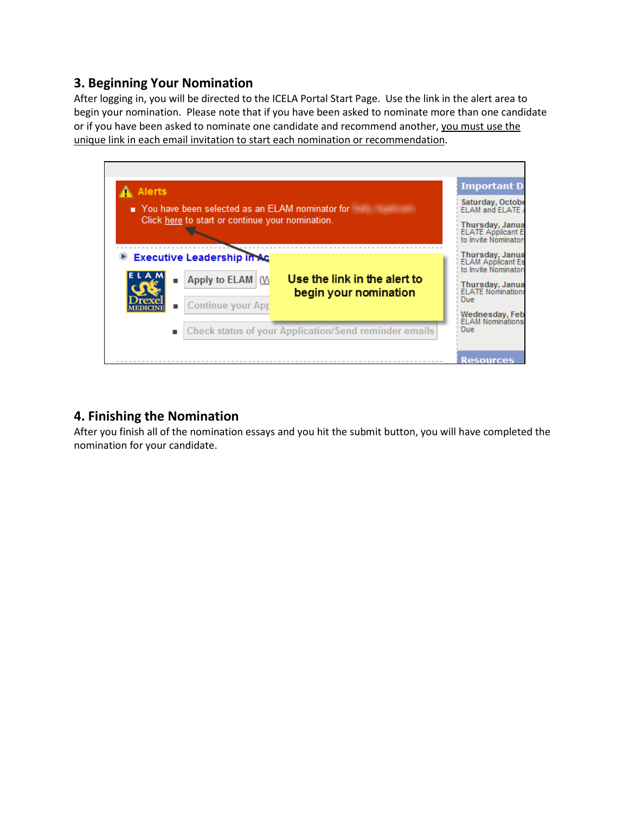### **3. Beginning Your Nomination**

After logging in, you will be directed to the ICELA Portal Start Page. Use the link in the alert area to begin your nomination. Please note that if you have been asked to nominate more than one candidate or if you have been asked to nominate one candidate and recommend another, you must use the unique link in each email invitation to start each nomination or recommendation.



### **4. Finishing the Nomination**

After you finish all of the nomination essays and you hit the submit button, you will have completed the nomination for your candidate.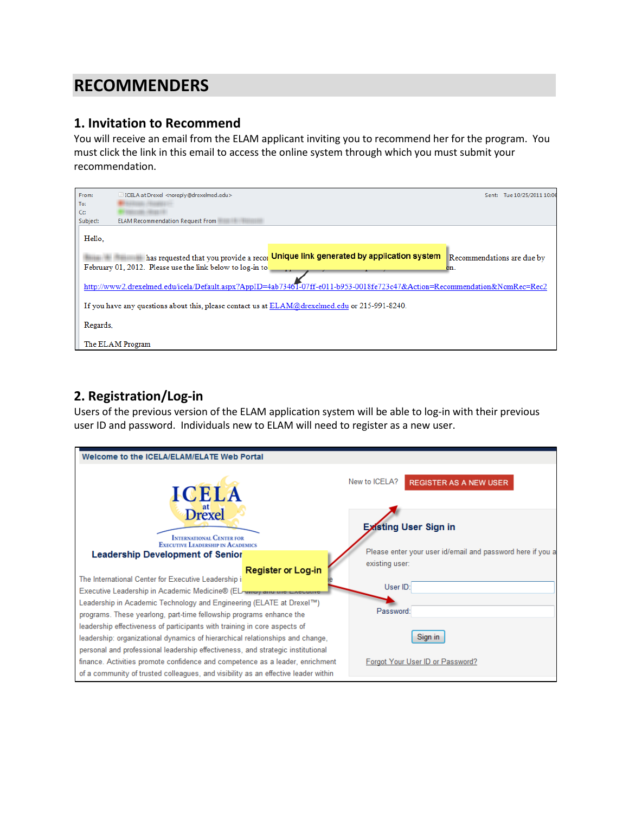# <span id="page-6-0"></span>**RECOMMENDERS**

#### **1. Invitation to Recommend**

You will receive an email from the ELAM applicant inviting you to recommend her for the program. You must click the link in this email to access the online system through which you must submit your recommendation.

| From:    | □ ICELA at Drexel <noreply@drexelmed.edu></noreply@drexelmed.edu>                                                                                  | Sent:                             | Tue 10/25/2011 10:06 |
|----------|----------------------------------------------------------------------------------------------------------------------------------------------------|-----------------------------------|----------------------|
| To:      |                                                                                                                                                    |                                   |                      |
| Cc:      |                                                                                                                                                    |                                   |                      |
| Subject: | <b>ELAM Recommendation Request From</b>                                                                                                            |                                   |                      |
| Hello.   |                                                                                                                                                    |                                   |                      |
|          | Unique link generated by application system<br>has requested that you provide a recor<br>February 01, 2012. Please use the link below to log-in to | Recommendations are due by<br>on. |                      |
|          | http://www2.drexelmed.edu/icela/Default.aspx?AppID=4ab73461-07ff-e011-b953-0018fe723c47&Action=Recommendation&NomRec=Rec2                          |                                   |                      |
|          | If you have any questions about this, please contact us at $ELAM@d$ rexelmed.edu or 215-991-8240.                                                  |                                   |                      |
| Regards. |                                                                                                                                                    |                                   |                      |
|          | The ELAM Program                                                                                                                                   |                                   |                      |

# **2. Registration/Log-in**

Users of the previous version of the ELAM application system will be able to log-in with their previous user ID and password. Individuals new to ELAM will need to register as a new user.

| Welcome to the ICELA/ELAM/ELATE Web Portal                                                                                                                                                                                                    |                                                                              |
|-----------------------------------------------------------------------------------------------------------------------------------------------------------------------------------------------------------------------------------------------|------------------------------------------------------------------------------|
| <b>ICELA</b>                                                                                                                                                                                                                                  | New to ICELA?<br><b>REGISTER AS A NEW USER</b>                               |
| <b>Drexel</b><br><b>INTERNATIONAL CENTER FOR</b><br><b>EXECUTIVE LEADERSHIP IN ACADEMICS</b>                                                                                                                                                  | <b>Existing User Sign in</b>                                                 |
| <b>Leadership Development of Senior</b><br><b>Register or Log-in</b><br>The International Center for Executive Leadership i                                                                                                                   | Please enter your user id/email and password here if you a<br>existing user: |
| Executive Leadership in Academic Medicine® (EL www) and the Executive                                                                                                                                                                         | User ID:                                                                     |
| Leadership in Academic Technology and Engineering (ELATE at Drexel™)<br>programs. These yearlong, part-time fellowship programs enhance the                                                                                                   | Password:                                                                    |
| leadership effectiveness of participants with training in core aspects of<br>leadership: organizational dynamics of hierarchical relationships and change,<br>personal and professional leadership effectiveness, and strategic institutional | Sign in                                                                      |
| finance. Activities promote confidence and competence as a leader, enrichment<br>of a community of trusted colleagues, and visibility as an effective leader within                                                                           | Forgot Your User ID or Password?                                             |